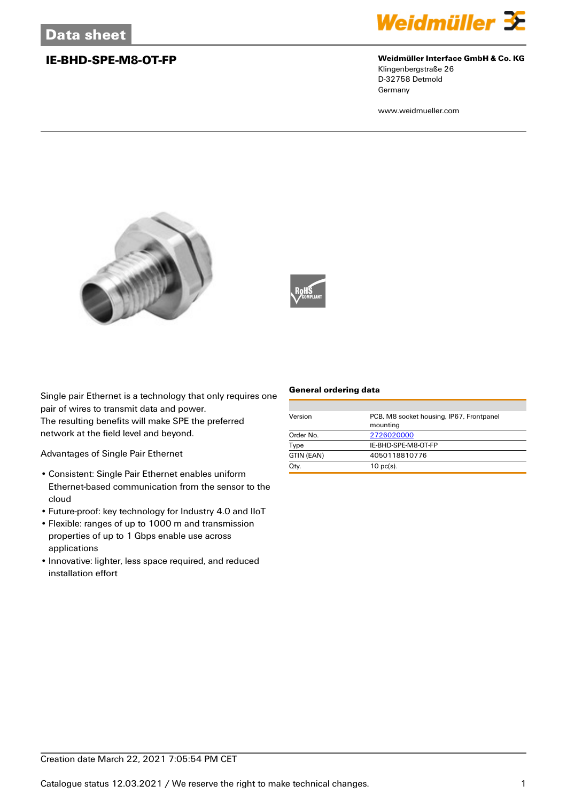

### **IE-BHD-SPE-M8-OT-FP Weidmüller Interface GmbH & Co. KG**

Klingenbergstraße 26 D-32758 Detmold Germany

www.weidmueller.com





Single pair Ethernet is a technology that only requires one pair of wires to transmit data and power.

The resulting benefits will make SPE the preferred network at the field level and beyond.

Advantages of Single Pair Ethernet

- Consistent: Single Pair Ethernet enables uniform Ethernet-based communication from the sensor to the cloud
- Future-proof: key technology for Industry 4.0 and IIoT
- Flexible: ranges of up to 1000 m and transmission properties of up to 1 Gbps enable use across applications
- Innovative: lighter, less space required, and reduced installation effort

### **General ordering data**

| Version    | PCB, M8 socket housing, IP67, Frontpanel<br>mounting |
|------------|------------------------------------------------------|
| Order No.  | 2726020000                                           |
| Type       | IE-BHD-SPE-M8-OT-FP                                  |
| GTIN (EAN) | 4050118810776                                        |
| Qty.       | $10$ pc(s).                                          |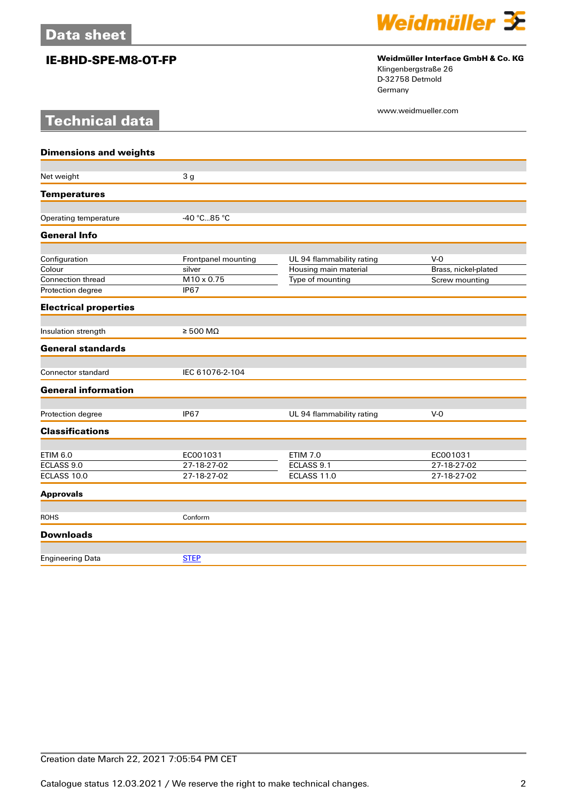**Technical data**



# **IE-BHD-SPE-M8-OT-FP Weidmüller Interface GmbH & Co. KG**

Klingenbergstraße 26 D-32758 Detmold Germany

www.weidmueller.com

| <b>Dimensions and weights</b> |                            |                           |                      |
|-------------------------------|----------------------------|---------------------------|----------------------|
|                               |                            |                           |                      |
| Net weight                    | 3 <sub>g</sub>             |                           |                      |
| <b>Temperatures</b>           |                            |                           |                      |
| Operating temperature         | -40 °C85 °C                |                           |                      |
| <b>General Info</b>           |                            |                           |                      |
| Configuration                 | Frontpanel mounting        | UL 94 flammability rating | $V-0$                |
| Colour                        | silver                     | Housing main material     | Brass, nickel-plated |
| <b>Connection thread</b>      | M10 x 0.75                 | Type of mounting          | Screw mounting       |
| Protection degree             | <b>IP67</b>                |                           |                      |
| <b>Electrical properties</b>  |                            |                           |                      |
| Insulation strength           | $\geq 500 \text{ M}\Omega$ |                           |                      |
| <b>General standards</b>      |                            |                           |                      |
| <b>Connector standard</b>     | IEC 61076-2-104            |                           |                      |
| <b>General information</b>    |                            |                           |                      |
| Protection degree             | <b>IP67</b>                | UL 94 flammability rating | $V-0$                |
| <b>Classifications</b>        |                            |                           |                      |
|                               |                            |                           |                      |
| <b>ETIM 6.0</b>               | EC001031                   | <b>ETIM 7.0</b>           | EC001031             |
| ECLASS 9.0                    | 27-18-27-02                | ECLASS 9.1                | 27-18-27-02          |
| ECLASS 10.0                   | 27-18-27-02                | ECLASS 11.0               | 27-18-27-02          |
| <b>Approvals</b>              |                            |                           |                      |
| <b>ROHS</b>                   | Conform                    |                           |                      |
| <b>Downloads</b>              |                            |                           |                      |
|                               |                            |                           |                      |
| <b>Engineering Data</b>       | <b>STEP</b>                |                           |                      |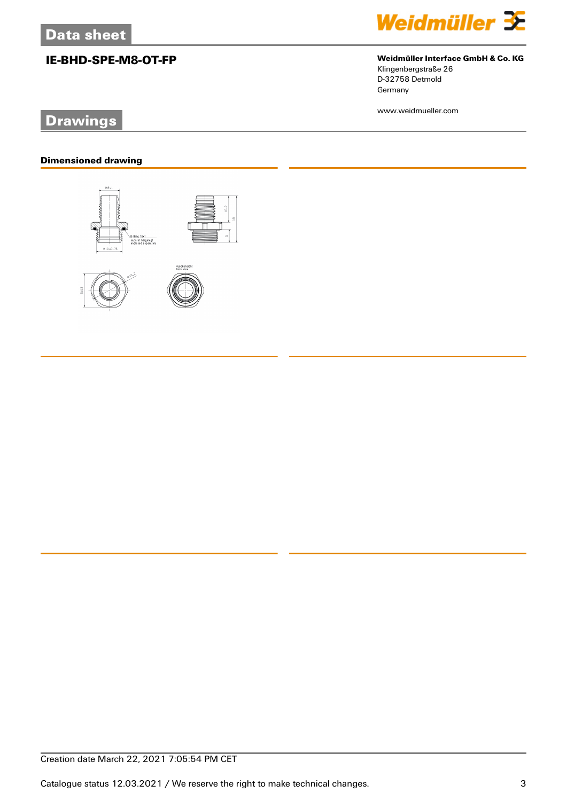# **Drawings**

### **Dimensioned drawing**





# **IE-BHD-SPE-M8-OT-FP Weidmüller Interface GmbH & Co. KG** Klingenbergstraße 26

D-32758 Detmold Germany

www.weidmueller.com